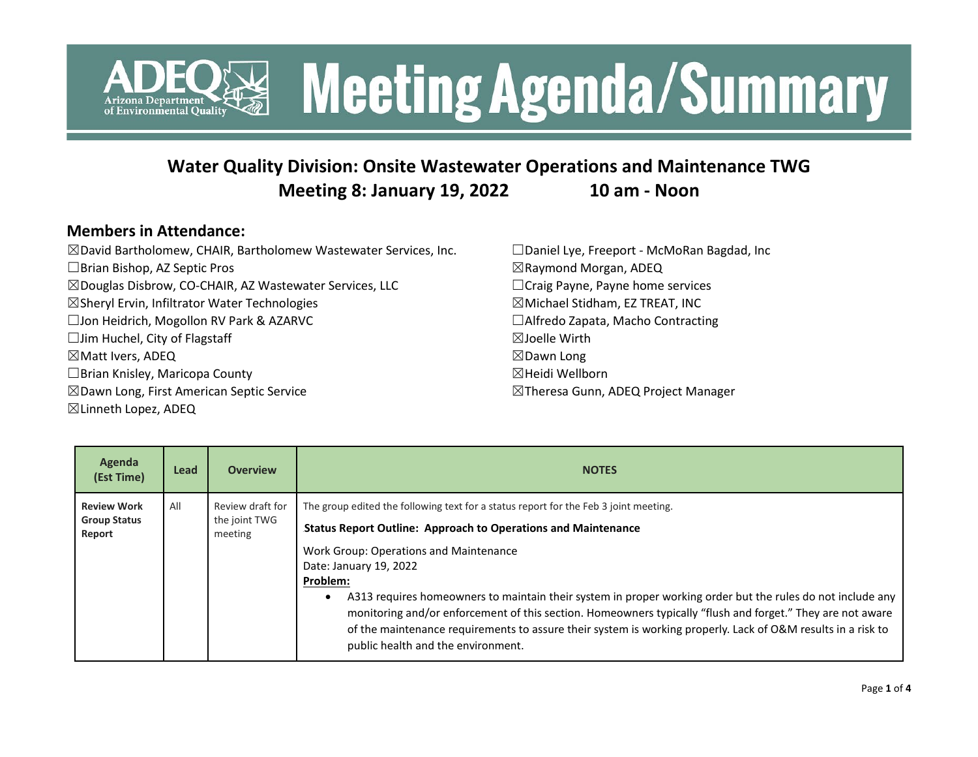

### **Water Quality Division: Onsite Wastewater Operations and Maintenance TWG Meeting 8: January 19, 2022 10 am - Noon**

#### **Members in Attendance:**

| ⊠David Bartholomew, CHAIR, Bartholomew Wastewater Services, Inc.   | □ Daniel Lye, Freeport - McMoRan Bagdad, Inc |
|--------------------------------------------------------------------|----------------------------------------------|
| $\Box$ Brian Bishop, AZ Septic Pros                                | $\boxtimes$ Raymond Morgan, ADEQ             |
| $\boxtimes$ Douglas Disbrow, CO-CHAIR, AZ Wastewater Services, LLC | $\Box$ Craig Payne, Payne home services      |
| ⊠Sheryl Ervin, Infiltrator Water Technologies                      | $\boxtimes$ Michael Stidham, EZ TREAT, INC   |
| □ Jon Heidrich, Mogollon RV Park & AZARVC                          | □ Alfredo Zapata, Macho Contracting          |
| $\Box$ Jim Huchel, City of Flagstaff                               | $\boxtimes$ Joelle Wirth                     |
| $\boxtimes$ Matt Ivers, ADEQ                                       | $\boxtimes$ Dawn Long                        |
| $\Box$ Brian Knisley, Maricopa County                              | ⊠Heidi Wellborn                              |
| $\boxtimes$ Dawn Long, First American Septic Service               | ⊠Theresa Gunn, ADEQ Project Manager          |
| ⊠ Linneth Lopez, ADEQ                                              |                                              |

| Agenda<br>(Est Time)                                | Lead | <b>Overview</b>                              | <b>NOTES</b>                                                                                                                                                                                                                                                                                                                                                                                                                                                                                                                                                                                                                   |
|-----------------------------------------------------|------|----------------------------------------------|--------------------------------------------------------------------------------------------------------------------------------------------------------------------------------------------------------------------------------------------------------------------------------------------------------------------------------------------------------------------------------------------------------------------------------------------------------------------------------------------------------------------------------------------------------------------------------------------------------------------------------|
| <b>Review Work</b><br><b>Group Status</b><br>Report | All  | Review draft for<br>the joint TWG<br>meeting | The group edited the following text for a status report for the Feb 3 joint meeting.<br><b>Status Report Outline: Approach to Operations and Maintenance</b><br>Work Group: Operations and Maintenance<br>Date: January 19, 2022<br>Problem:<br>A313 requires homeowners to maintain their system in proper working order but the rules do not include any<br>monitoring and/or enforcement of this section. Homeowners typically "flush and forget." They are not aware<br>of the maintenance requirements to assure their system is working properly. Lack of O&M results in a risk to<br>public health and the environment. |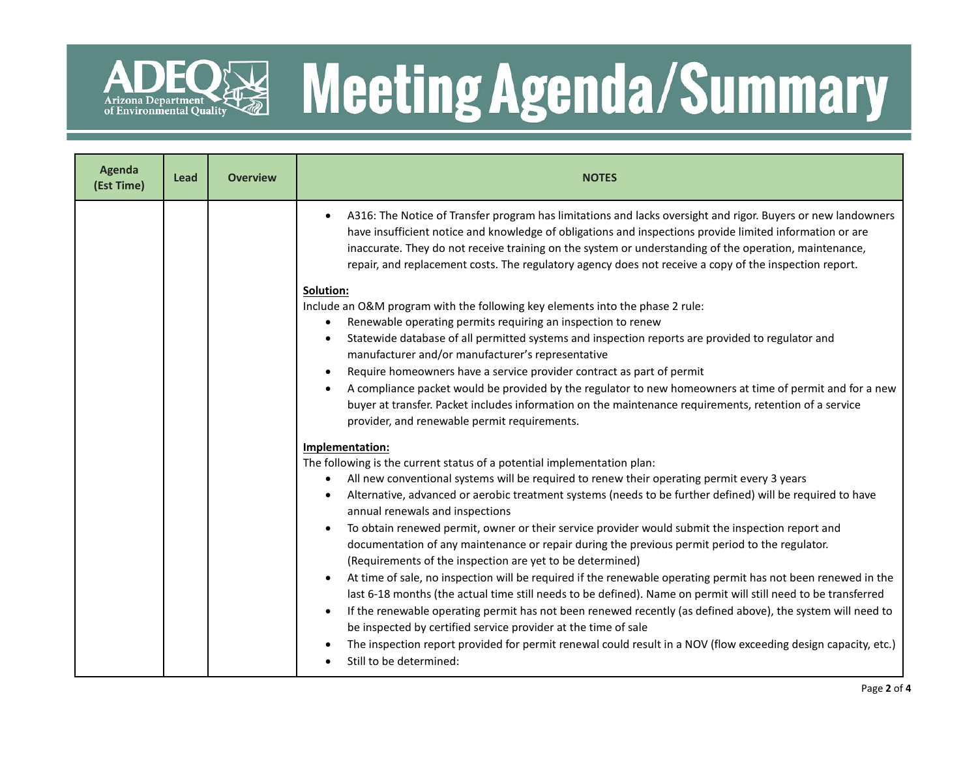

# **READ Meeting Agenda/Summary**

| <b>Agenda</b><br>(Est Time) | Lead | <b>Overview</b> | <b>NOTES</b>                                                                                                                                                                                                                                                                                                                                                                                                                                                                                                                                                                                                                                                                                                                                                                                                                                                                                                                                                                                                                                                                                                                                                                                                                                                                                                                                                                                                                                                                                                                                                                                                                                                                                                                                                                                                                                                                                                                                                                                                                                                                                                                                                                                                                                                                                                    |  |  |
|-----------------------------|------|-----------------|-----------------------------------------------------------------------------------------------------------------------------------------------------------------------------------------------------------------------------------------------------------------------------------------------------------------------------------------------------------------------------------------------------------------------------------------------------------------------------------------------------------------------------------------------------------------------------------------------------------------------------------------------------------------------------------------------------------------------------------------------------------------------------------------------------------------------------------------------------------------------------------------------------------------------------------------------------------------------------------------------------------------------------------------------------------------------------------------------------------------------------------------------------------------------------------------------------------------------------------------------------------------------------------------------------------------------------------------------------------------------------------------------------------------------------------------------------------------------------------------------------------------------------------------------------------------------------------------------------------------------------------------------------------------------------------------------------------------------------------------------------------------------------------------------------------------------------------------------------------------------------------------------------------------------------------------------------------------------------------------------------------------------------------------------------------------------------------------------------------------------------------------------------------------------------------------------------------------------------------------------------------------------------------------------------------------|--|--|
|                             |      |                 | A316: The Notice of Transfer program has limitations and lacks oversight and rigor. Buyers or new landowners<br>have insufficient notice and knowledge of obligations and inspections provide limited information or are<br>inaccurate. They do not receive training on the system or understanding of the operation, maintenance,<br>repair, and replacement costs. The regulatory agency does not receive a copy of the inspection report.<br>Solution:<br>Include an O&M program with the following key elements into the phase 2 rule:<br>Renewable operating permits requiring an inspection to renew<br>Statewide database of all permitted systems and inspection reports are provided to regulator and<br>manufacturer and/or manufacturer's representative<br>Require homeowners have a service provider contract as part of permit<br>$\bullet$<br>A compliance packet would be provided by the regulator to new homeowners at time of permit and for a new<br>buyer at transfer. Packet includes information on the maintenance requirements, retention of a service<br>provider, and renewable permit requirements.<br>Implementation:<br>The following is the current status of a potential implementation plan:<br>All new conventional systems will be required to renew their operating permit every 3 years<br>$\bullet$<br>Alternative, advanced or aerobic treatment systems (needs to be further defined) will be required to have<br>annual renewals and inspections<br>To obtain renewed permit, owner or their service provider would submit the inspection report and<br>documentation of any maintenance or repair during the previous permit period to the regulator.<br>(Requirements of the inspection are yet to be determined)<br>At time of sale, no inspection will be required if the renewable operating permit has not been renewed in the<br>last 6-18 months (the actual time still needs to be defined). Name on permit will still need to be transferred<br>If the renewable operating permit has not been renewed recently (as defined above), the system will need to<br>$\bullet$<br>be inspected by certified service provider at the time of sale<br>The inspection report provided for permit renewal could result in a NOV (flow exceeding design capacity, etc.) |  |  |
|                             |      |                 | Still to be determined:                                                                                                                                                                                                                                                                                                                                                                                                                                                                                                                                                                                                                                                                                                                                                                                                                                                                                                                                                                                                                                                                                                                                                                                                                                                                                                                                                                                                                                                                                                                                                                                                                                                                                                                                                                                                                                                                                                                                                                                                                                                                                                                                                                                                                                                                                         |  |  |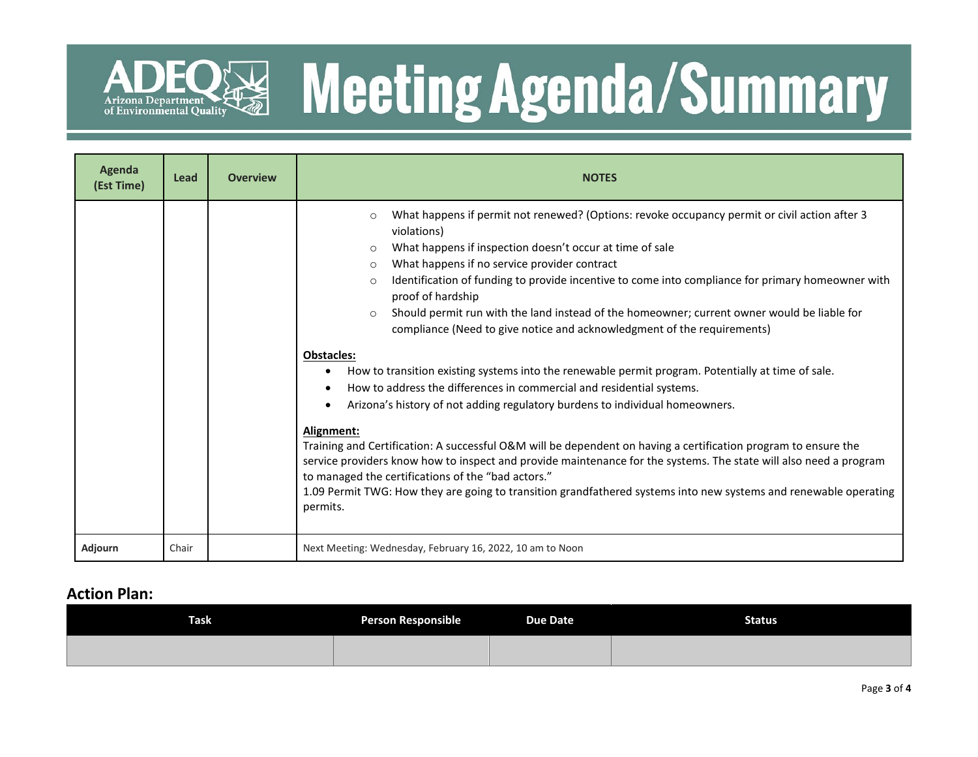

# R& Meeting Agenda/Summary

| Agenda<br>(Est Time) | Lead  | <b>Overview</b> | <b>NOTES</b>                                                                                                                                                                                                                                                                                                                                                                                                                                                                                                                                                                                                                                                                                                                                                                                                                                                                                                                                                                                                                                                                                                                                                                                                                                                                                                              |  |  |
|----------------------|-------|-----------------|---------------------------------------------------------------------------------------------------------------------------------------------------------------------------------------------------------------------------------------------------------------------------------------------------------------------------------------------------------------------------------------------------------------------------------------------------------------------------------------------------------------------------------------------------------------------------------------------------------------------------------------------------------------------------------------------------------------------------------------------------------------------------------------------------------------------------------------------------------------------------------------------------------------------------------------------------------------------------------------------------------------------------------------------------------------------------------------------------------------------------------------------------------------------------------------------------------------------------------------------------------------------------------------------------------------------------|--|--|
|                      |       |                 | What happens if permit not renewed? (Options: revoke occupancy permit or civil action after 3<br>$\circ$<br>violations)<br>What happens if inspection doesn't occur at time of sale<br>$\circ$<br>What happens if no service provider contract<br>$\circ$<br>Identification of funding to provide incentive to come into compliance for primary homeowner with<br>O<br>proof of hardship<br>Should permit run with the land instead of the homeowner; current owner would be liable for<br>$\circ$<br>compliance (Need to give notice and acknowledgment of the requirements)<br><b>Obstacles:</b><br>How to transition existing systems into the renewable permit program. Potentially at time of sale.<br>$\bullet$<br>How to address the differences in commercial and residential systems.<br>Arizona's history of not adding regulatory burdens to individual homeowners.<br>Alignment:<br>Training and Certification: A successful O&M will be dependent on having a certification program to ensure the<br>service providers know how to inspect and provide maintenance for the systems. The state will also need a program<br>to managed the certifications of the "bad actors."<br>1.09 Permit TWG: How they are going to transition grandfathered systems into new systems and renewable operating<br>permits. |  |  |
| Adjourn              | Chair |                 | Next Meeting: Wednesday, February 16, 2022, 10 am to Noon                                                                                                                                                                                                                                                                                                                                                                                                                                                                                                                                                                                                                                                                                                                                                                                                                                                                                                                                                                                                                                                                                                                                                                                                                                                                 |  |  |

#### **Action Plan:**

| <b>Task</b> | <b>Person Responsible</b> | <b>Due Date</b> | <b>Status</b> |
|-------------|---------------------------|-----------------|---------------|
|             |                           |                 |               |